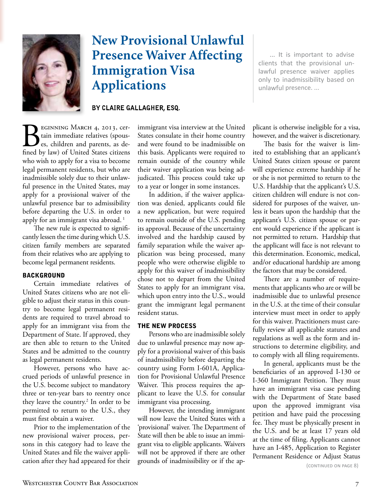

# **New Provisional Unlawful Presence Waiver Affecting Immigration Visa Applications**

## BY CLAIRE GALLAGHER, ESQ.

EGINNING MARCH 4, 2013, certain immediate relatives (spouses, children and parents, as defined by law) of United States citizens who wish to apply for a visa to become legal permanent residents, but who are inadmissible solely due to their unlawful presence in the United States, may apply for a provisional waiver of the unlawful presence bar to admissibility before departing the U.S. in order to apply for an immigrant visa abroad.<sup>1</sup>

The new rule is expected to significantly lessen the time during which U.S. citizen family members are separated from their relatives who are applying to become legal permanent residents.

### **BACKGROUND**

Certain immediate relatives of United States citizens who are not eligible to adjust their status in this country to become legal permanent residents are required to travel abroad to apply for an immigrant visa from the Department of State. If approved, they are then able to return to the United States and be admitted to the country as legal permanent residents.

However, persons who have accrued periods of unlawful presence in the U.S. become subject to mandatory three or ten-year bars to reentry once they leave the country.<sup>2</sup> In order to be permitted to return to the U.S., they must first obtain a waiver.

Prior to the implementation of the new provisional waiver process, persons in this category had to leave the United States and file the waiver application after they had appeared for their

immigrant visa interview at the United States consulate in their home country and were found to be inadmissible on this basis. Applicants were required to remain outside of the country while their waiver application was being adjudicated. This process could take up to a year or longer in some instances.

In addition, if the waiver application was denied, applicants could file a new application, but were required to remain outside of the U.S. pending its approval. Because of the uncertainty involved and the hardship caused by family separation while the waiver application was being processed, many people who were otherwise eligible to apply for this waiver of inadmissibility chose not to depart from the United States to apply for an immigrant visa, which upon entry into the U.S., would grant the immigrant legal permanent resident status.

#### **THE NEW PROCESS**

Persons who are inadmissible solely due to unlawful presence may now apply for a provisional waiver of this basis of inadmissibility before departing the country using Form I-601A, Application for Provisional Unlawful Presence Waiver. This process requires the applicant to leave the U.S. for consular immigrant visa processing.

However, the intending immigrant will now leave the United States with a 'provisional' waiver. The Department of State will then be able to issue an immigrant visa to eligible applicants. Waivers will not be approved if there are other grounds of inadmissibility or if the ap-

... It is important to advise clients that the provisional unlawful presence waiver applies only to inadmissibility based on unlawful presence....

plicant is otherwise ineligible for a visa, however, and the waiver is discretionary.

The basis for the waiver is limited to establishing that an applicant's United States citizen spouse or parent will experience extreme hardship if he or she is not permitted to return to the U.S. Hardship that the applicant's U.S. citizen children will endure is not considered for purposes of the waiver, unless it bears upon the hardship that the applicant's U.S. citizen spouse or parent would experience if the applicant is not permitted to return. Hardship that the applicant will face is not relevant to this determination. Economic, medical, and/or educational hardship are among the factors that may be considered.

There are a number of requirements that applicants who are or will be inadmissible due to unlawful presence in the U.S. at the time of their consular interview must meet in order to apply for this waiver. Practitioners must carefully review all applicable statutes and regulations as well as the form and instructions to determine eligibility, and to comply with all filing requirements.

In general, applicants must be the beneficiaries of an approved I-130 or I-360 Immigrant Petition. They must have an immigrant visa case pending with the Department of State based upon the approved immigrant visa petition and have paid the processing fee. They must be physically present in the U.S. and be at least 17 years old at the time of filing. Applicants cannot have an I-485, Application to Register Permanent Residence or Adjust Status

(CONTINUED ON PAGE 8)